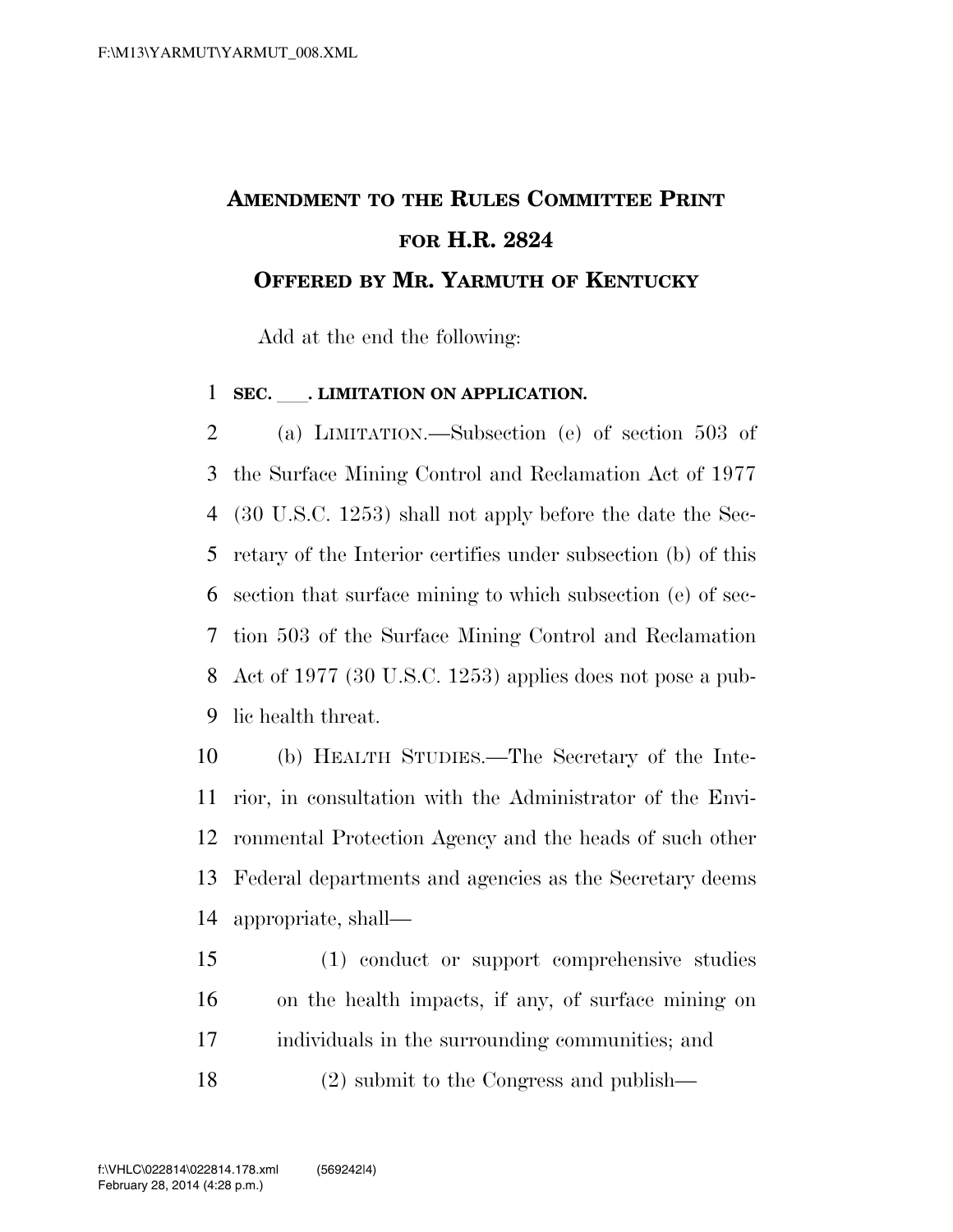## **AMENDMENT TO THE RULES COMMITTEE PRINT FOR H.R. 2824 OFFERED BY MR. YARMUTH OF KENTUCKY**

Add at the end the following:

## **SEC.** ll**. LIMITATION ON APPLICATION.**

 (a) LIMITATION.—Subsection (e) of section 503 of the Surface Mining Control and Reclamation Act of 1977 (30 U.S.C. 1253) shall not apply before the date the Sec- retary of the Interior certifies under subsection (b) of this section that surface mining to which subsection (e) of sec- tion 503 of the Surface Mining Control and Reclamation Act of 1977 (30 U.S.C. 1253) applies does not pose a pub-lic health threat.

 (b) HEALTH STUDIES.—The Secretary of the Inte- rior, in consultation with the Administrator of the Envi- ronmental Protection Agency and the heads of such other Federal departments and agencies as the Secretary deems appropriate, shall—

 (1) conduct or support comprehensive studies on the health impacts, if any, of surface mining on individuals in the surrounding communities; and

(2) submit to the Congress and publish—